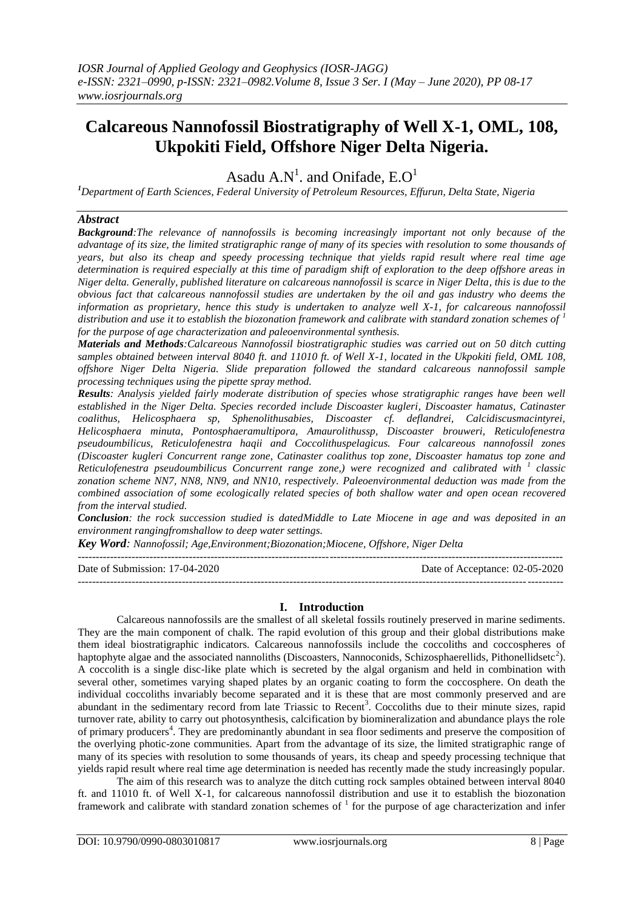# **Calcareous Nannofossil Biostratigraphy of Well X-1, OML, 108, Ukpokiti Field, Offshore Niger Delta Nigeria.**

Asadu  $A.N^1$ . and Onifade,  $E.O^1$ 

*<sup>1</sup>Department of Earth Sciences, Federal University of Petroleum Resources, Effurun, Delta State, Nigeria*

## *Abstract*

*Background:The relevance of nannofossils is becoming increasingly important not only because of the advantage of its size, the limited stratigraphic range of many of its species with resolution to some thousands of years, but also its cheap and speedy processing technique that yields rapid result where real time age determination is required especially at this time of paradigm shift of exploration to the deep offshore areas in Niger delta. Generally, published literature on calcareous nannofossil is scarce in Niger Delta, this is due to the obvious fact that calcareous nannofossil studies are undertaken by the oil and gas industry who deems the information as proprietary, hence this study is undertaken to analyze well X-1, for calcareous nannofossil distribution and use it to establish the biozonation framework and calibrate with standard zonation schemes of <sup>1</sup> for the purpose of age characterization and paleoenvironmental synthesis.* 

*Materials and Methods:Calcareous Nannofossil biostratigraphic studies was carried out on 50 ditch cutting*  samples obtained between interval 8040 ft. and 11010 ft. of Well X-1, located in the Ukpokiti field, OML 108, *offshore Niger Delta Nigeria. Slide preparation followed the standard calcareous nannofossil sample processing techniques using the pipette spray method.* 

*Results: Analysis yielded fairly moderate distribution of species whose stratigraphic ranges have been well established in the Niger Delta. Species recorded include Discoaster kugleri, Discoaster hamatus, Catinaster coalithus, Helicosphaera sp, Sphenolithusabies, Discoaster cf. deflandrei, Calcidiscusmacintyrei, Helicosphaera minuta, Pontosphaeramultipora, Amaurolithussp, Discoaster brouweri, Reticulofenestra pseudoumbilicus, Reticulofenestra haqii and Coccolithuspelagicus. Four calcareous nannofossil zones (Discoaster kugleri Concurrent range zone, Catinaster coalithus top zone, Discoaster hamatus top zone and Reticulofenestra pseudoumbilicus Concurrent range zone,) were recognized and calibrated with <sup>1</sup> classic zonation scheme NN7, NN8, NN9, and NN10, respectively. Paleoenvironmental deduction was made from the combined association of some ecologically related species of both shallow water and open ocean recovered from the interval studied.*

*Conclusion: the rock succession studied is datedMiddle to Late Miocene in age and was deposited in an environment rangingfromshallow to deep water settings.*

*Key Word: Nannofossil; Age,Environment;Biozonation;Miocene, Offshore, Niger Delta*

---------------------------------------------------------------------------------------------------------------------------------------

---------------------------------------------------------------------------------------------------------------------------------------

Date of Submission: 17-04-2020 Date of Acceptance: 02-05-2020

# **I. Introduction**

Calcareous nannofossils are the smallest of all skeletal fossils routinely preserved in marine sediments. They are the main component of chalk. The rapid evolution of this group and their global distributions make them ideal biostratigraphic indicators. Calcareous nannofossils include the coccoliths and coccospheres of haptophyte algae and the associated nannoliths (Discoasters, Nannoconids, Schizosphaerellids, Pithonellidsetc<sup>2</sup>). A coccolith is a single disc-like plate which is secreted by the algal organism and held in combination with several other, sometimes varying shaped plates by an organic coating to form the coccosphere. On death the individual coccoliths invariably become separated and it is these that are most commonly preserved and are abundant in the sedimentary record from late Triassic to Recent<sup>3</sup>. Coccoliths due to their minute sizes, rapid turnover rate, ability to carry out photosynthesis, calcification by biomineralization and abundance plays the role of primary producers<sup>4</sup>. They are predominantly abundant in sea floor sediments and preserve the composition of the overlying photic-zone communities. Apart from the advantage of its size, the limited stratigraphic range of many of its species with resolution to some thousands of years, its cheap and speedy processing technique that yields rapid result where real time age determination is needed has recently made the study increasingly popular.

The aim of this research was to analyze the ditch cutting rock samples obtained between interval 8040 ft. and 11010 ft. of Well X-1, for calcareous nannofossil distribution and use it to establish the biozonation framework and calibrate with standard zonation schemes of  $<sup>1</sup>$  for the purpose of age characterization and infer</sup>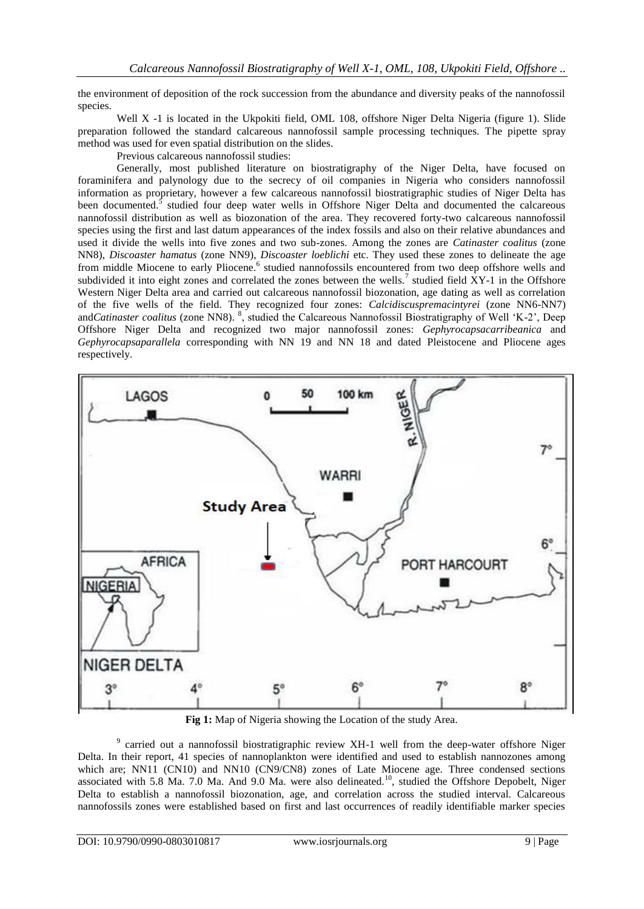the environment of deposition of the rock succession from the abundance and diversity peaks of the nannofossil species.

Well X -1 is located in the Ukpokiti field, OML 108, offshore Niger Delta Nigeria (figure 1). Slide preparation followed the standard calcareous nannofossil sample processing techniques. The pipette spray method was used for even spatial distribution on the slides.

Previous calcareous nannofossil studies:

Generally, most published literature on biostratigraphy of the Niger Delta, have focused on foraminifera and palynology due to the secrecy of oil companies in Nigeria who considers nannofossil information as proprietary, however a few calcareous nannofossil biostratigraphic studies of Niger Delta has been documented.<sup>5</sup> studied four deep water wells in Offshore Niger Delta and documented the calcareous nannofossil distribution as well as biozonation of the area. They recovered forty-two calcareous nannofossil species using the first and last datum appearances of the index fossils and also on their relative abundances and used it divide the wells into five zones and two sub-zones. Among the zones are *Catinaster coalitus* (zone NN8), *Discoaster hamatus* (zone NN9), *Discoaster loeblichi* etc. They used these zones to delineate the age from middle Miocene to early Pliocene.<sup>6</sup> studied nannofossils encountered from two deep offshore wells and subdivided it into eight zones and correlated the zones between the wells.<sup>7</sup> studied field  $XY-1$  in the Offshore Western Niger Delta area and carried out calcareous nannofossil biozonation, age dating as well as correlation of the five wells of the field. They recognized four zones: *Calcidiscuspremacintyrei* (zone NN6-NN7) and*Catinaster coalitus* (zone NN8). <sup>8</sup>, studied the Calcareous Nannofossil Biostratigraphy of Well 'K-2', Deep Offshore Niger Delta and recognized two major nannofossil zones: *Gephyrocapsacarribeanica* and *Gephyrocapsaparallela* corresponding with NN 19 and NN 18 and dated Pleistocene and Pliocene ages respectively.



**Fig 1:** Map of Nigeria showing the Location of the study Area.

<sup>9</sup> carried out a nannofossil biostratigraphic review XH-1 well from the deep-water offshore Niger Delta. In their report, 41 species of nannoplankton were identified and used to establish nannozones among which are; NN11 (CN10) and NN10 (CN9/CN8) zones of Late Miocene age. Three condensed sections associated with 5.8 Ma. 7.0 Ma. And 9.0 Ma. were also delineated.<sup>10</sup>, studied the Offshore Depobelt, Niger Delta to establish a nannofossil biozonation, age, and correlation across the studied interval. Calcareous nannofossils zones were established based on first and last occurrences of readily identifiable marker species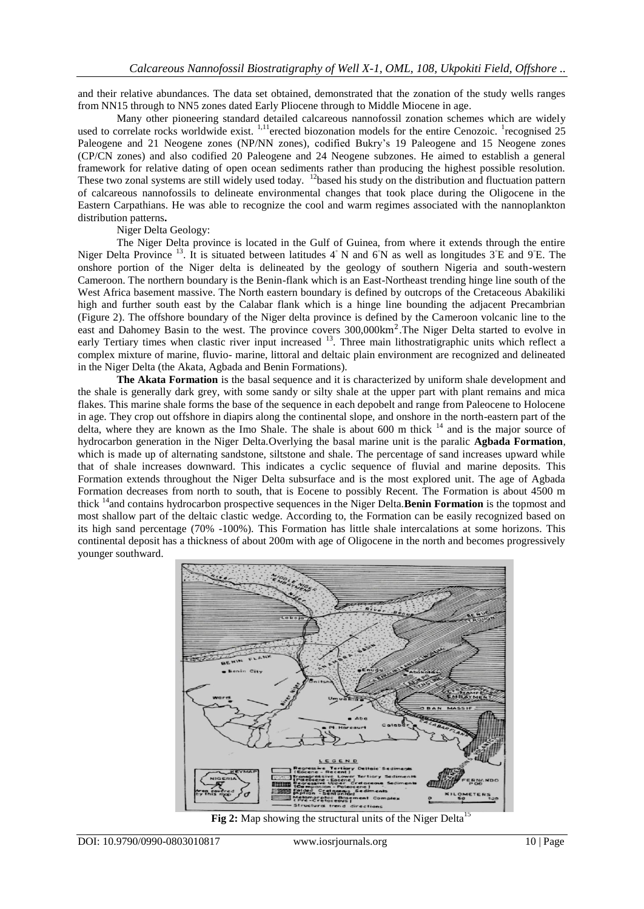and their relative abundances. The data set obtained, demonstrated that the zonation of the study wells ranges from NN15 through to NN5 zones dated Early Pliocene through to Middle Miocene in age.

Many other pioneering standard detailed calcareous nannofossil zonation schemes which are widely used to correlate rocks worldwide exist. <sup>1,11</sup>erected biozonation models for the entire Cenozoic. <sup>1</sup>recognised 25 Paleogene and 21 Neogene zones (NP/NN zones), codified Bukry"s 19 Paleogene and 15 Neogene zones (CP/CN zones) and also codified 20 Paleogene and 24 Neogene subzones. He aimed to establish a general framework for relative dating of open ocean sediments rather than producing the highest possible resolution. These two zonal systems are still widely used today. <sup>12</sup>based his study on the distribution and fluctuation pattern of calcareous nannofossils to delineate environmental changes that took place during the Oligocene in the Eastern Carpathians. He was able to recognize the cool and warm regimes associated with the nannoplankton distribution patterns**.** 

## Niger Delta Geology:

The Niger Delta province is located in the Gulf of Guinea, from where it extends through the entire Niger Delta Province <sup>13</sup>. It is situated between latitudes 4° N and 6°N as well as longitudes 3°E and 9°E. The onshore portion of the Niger delta is delineated by the geology of southern Nigeria and south-western Cameroon. The northern boundary is the Benin-flank which is an East-Northeast trending hinge line south of the West Africa basement massive. The North eastern boundary is defined by outcrops of the Cretaceous Abakiliki high and further south east by the Calabar flank which is a hinge line bounding the adjacent Precambrian (Figure 2). The offshore boundary of the Niger delta province is defined by the Cameroon volcanic line to the east and Dahomey Basin to the west. The province covers 300,000km<sup>2</sup>. The Niger Delta started to evolve in early Tertiary times when clastic river input increased <sup>13</sup>. Three main lithostratigraphic units which reflect a complex mixture of marine, fluvio- marine, littoral and deltaic plain environment are recognized and delineated in the Niger Delta (the Akata, Agbada and Benin Formations).

**The Akata Formation** is the basal sequence and it is characterized by uniform shale development and the shale is generally dark grey, with some sandy or silty shale at the upper part with plant remains and mica flakes. This marine shale forms the base of the sequence in each depobelt and range from Paleocene to Holocene in age. They crop out offshore in diapirs along the continental slope, and onshore in the north-eastern part of the delta, where they are known as the Imo Shale. The shale is about 600 m thick <sup>14</sup> and is the major source of hydrocarbon generation in the Niger Delta.Overlying the basal marine unit is the paralic **Agbada Formation**, which is made up of alternating sandstone, siltstone and shale. The percentage of sand increases upward while that of shale increases downward. This indicates a cyclic sequence of fluvial and marine deposits. This Formation extends throughout the Niger Delta subsurface and is the most explored unit. The age of Agbada Formation decreases from north to south, that is Eocene to possibly Recent. The Formation is about 4500 m thick <sup>14</sup> and contains hydrocarbon prospective sequences in the Niger Delta.**Benin Formation** is the topmost and most shallow part of the deltaic clastic wedge. According to, the Formation can be easily recognized based on its high sand percentage (70% -100%). This Formation has little shale intercalations at some horizons. This continental deposit has a thickness of about 200m with age of Oligocene in the north and becomes progressively younger southward.



**Fig 2:** Map showing the structural units of the Niger Delta<sup>15</sup>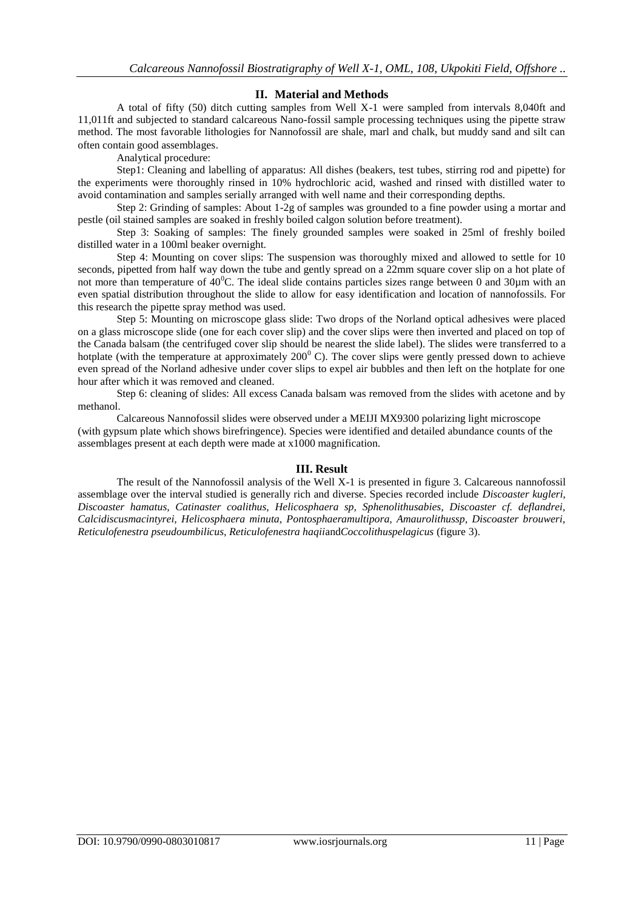# **II. Material and Methods**

A total of fifty (50) ditch cutting samples from Well X-1 were sampled from intervals 8,040ft and 11,011ft and subjected to standard calcareous Nano-fossil sample processing techniques using the pipette straw method. The most favorable lithologies for Nannofossil are shale, marl and chalk, but muddy sand and silt can often contain good assemblages.

Analytical procedure:

Step1: Cleaning and labelling of apparatus: All dishes (beakers, test tubes, stirring rod and pipette) for the experiments were thoroughly rinsed in 10% hydrochloric acid, washed and rinsed with distilled water to avoid contamination and samples serially arranged with well name and their corresponding depths.

Step 2: Grinding of samples: About 1-2g of samples was grounded to a fine powder using a mortar and pestle (oil stained samples are soaked in freshly boiled calgon solution before treatment).

Step 3: Soaking of samples: The finely grounded samples were soaked in 25ml of freshly boiled distilled water in a 100ml beaker overnight.

Step 4: Mounting on cover slips: The suspension was thoroughly mixed and allowed to settle for 10 seconds, pipetted from half way down the tube and gently spread on a 22mm square cover slip on a hot plate of not more than temperature of  $40^{\circ}$ C. The ideal slide contains particles sizes range between 0 and 30 $\mu$ m with an even spatial distribution throughout the slide to allow for easy identification and location of nannofossils. For this research the pipette spray method was used.

Step 5: Mounting on microscope glass slide: Two drops of the Norland optical adhesives were placed on a glass microscope slide (one for each cover slip) and the cover slips were then inverted and placed on top of the Canada balsam (the centrifuged cover slip should be nearest the slide label). The slides were transferred to a hotplate (with the temperature at approximately  $200^{\circ}$  C). The cover slips were gently pressed down to achieve even spread of the Norland adhesive under cover slips to expel air bubbles and then left on the hotplate for one hour after which it was removed and cleaned.

Step 6: cleaning of slides: All excess Canada balsam was removed from the slides with acetone and by methanol.

Calcareous Nannofossil slides were observed under a MEIJI MX9300 polarizing light microscope (with gypsum plate which shows birefringence). Species were identified and detailed abundance counts of the assemblages present at each depth were made at x1000 magnification.

# **III. Result**

The result of the Nannofossil analysis of the Well X-1 is presented in figure 3. Calcareous nannofossil assemblage over the interval studied is generally rich and diverse. Species recorded include *Discoaster kugleri, Discoaster hamatus, Catinaster coalithus, Helicosphaera sp, Sphenolithusabies, Discoaster cf. deflandrei, Calcidiscusmacintyrei, Helicosphaera minuta, Pontosphaeramultipora, Amaurolithussp, Discoaster brouweri, Reticulofenestra pseudoumbilicus, Reticulofenestra haqii*and*Coccolithuspelagicus* (figure 3).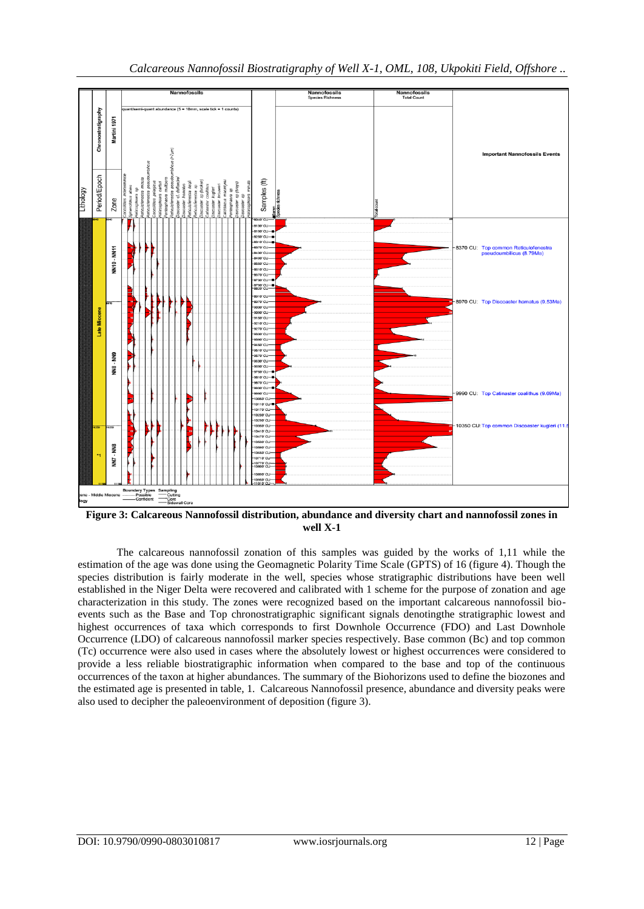

**Figure 3: Calcareous Nannofossil distribution, abundance and diversity chart and nannofossil zones in well X-1**

The calcareous nannofossil zonation of this samples was guided by the works of 1,11 while the estimation of the age was done using the Geomagnetic Polarity Time Scale (GPTS) of 16 (figure 4). Though the species distribution is fairly moderate in the well, species whose stratigraphic distributions have been well established in the Niger Delta were recovered and calibrated with 1 scheme for the purpose of zonation and age characterization in this study. The zones were recognized based on the important calcareous nannofossil bioevents such as the Base and Top chronostratigraphic significant signals denotingthe stratigraphic lowest and highest occurrences of taxa which corresponds to first Downhole Occurrence (FDO) and Last Downhole Occurrence (LDO) of calcareous nannofossil marker species respectively. Base common (Bc) and top common (Tc) occurrence were also used in cases where the absolutely lowest or highest occurrences were considered to provide a less reliable biostratigraphic information when compared to the base and top of the continuous occurrences of the taxon at higher abundances. The summary of the Biohorizons used to define the biozones and the estimated age is presented in table, 1. Calcareous Nannofossil presence, abundance and diversity peaks were also used to decipher the paleoenvironment of deposition (figure 3).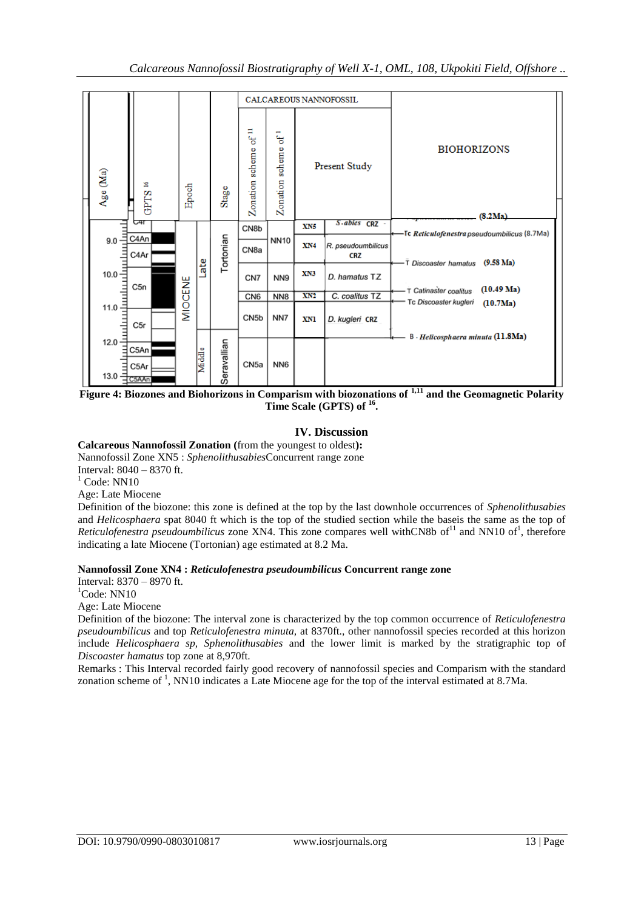

**Figure 4: Biozones and Biohorizons in Comparism with biozonations of 1,11 and the Geomagnetic Polarity Time Scale (GPTS) of <sup>16</sup> .**

# **IV. Discussion**

**Calcareous Nannofossil Zonation (**from the youngest to oldest**):**

Nannofossil Zone XN5 : *Sphenolithusabies*Concurrent range zone

Interval: 8040 – 8370 ft.

 $<sup>1</sup>$  Code: NN10</sup>

Age: Late Miocene

Definition of the biozone: this zone is defined at the top by the last downhole occurrences of *Sphenolithusabies* and *Helicosphaera* spat 8040 ft which is the top of the studied section while the baseis the same as the top of Reticulofenestra pseudoumbilicus zone XN4. This zone compares well withCN8b of<sup>11</sup> and NN10 of<sup>1</sup>, therefore indicating a late Miocene (Tortonian) age estimated at 8.2 Ma.

# **Nannofossil Zone XN4 :** *Reticulofenestra pseudoumbilicus* **Concurrent range zone**

Interval: 8370 – 8970 ft.

 ${}^{1}$ Code: NN10

Age: Late Miocene

Definition of the biozone: The interval zone is characterized by the top common occurrence of *Reticulofenestra pseudoumbilicus* and top *Reticulofenestra minuta,* at 8370ft., other nannofossil species recorded at this horizon include *Helicosphaera sp, Sphenolithusabies* and the lower limit is marked by the stratigraphic top of *Discoaster hamatus* top zone at 8,970ft.

Remarks : This Interval recorded fairly good recovery of nannofossil species and Comparism with the standard zonation scheme of  $<sup>1</sup>$ , NN10 indicates a Late Miocene age for the top of the interval estimated at 8.7Ma.</sup>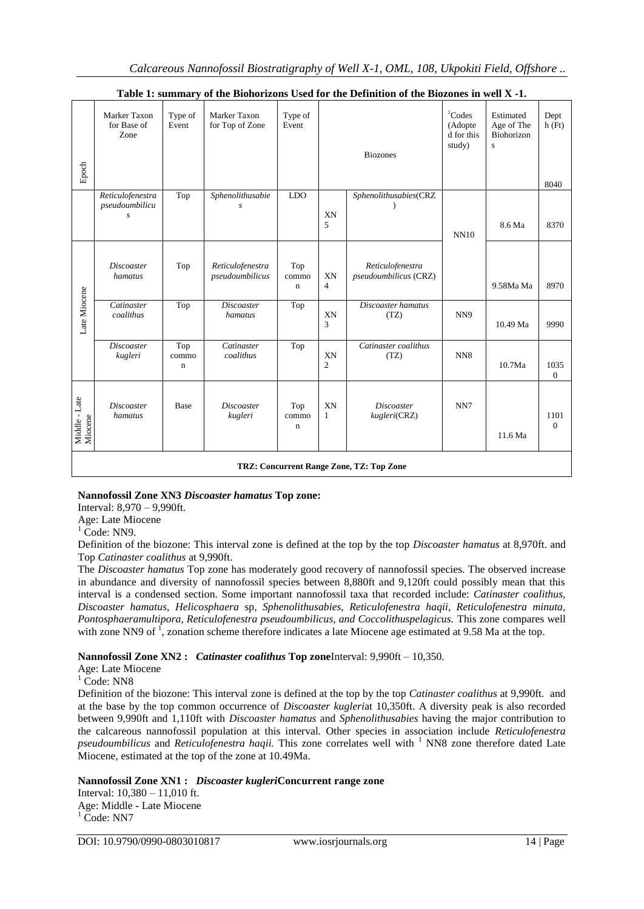| Epoch                                    | Marker Taxon<br>for Base of<br>Zone     | Type of<br>Event            | Marker Taxon<br>for Top of Zone     | Type of<br>Event            |                      | <b>Biozones</b>                           | <sup>1</sup> Codes<br>(Adopte<br>d for this<br>study) | Estimated<br>Age of The<br>Biohorizon<br>$\mathbf{s}$ | Dept<br>h(Ft)<br>8040 |
|------------------------------------------|-----------------------------------------|-----------------------------|-------------------------------------|-----------------------------|----------------------|-------------------------------------------|-------------------------------------------------------|-------------------------------------------------------|-----------------------|
|                                          | Reticulofenestra<br>pseudoumbilicu<br>S | Top                         | Sphenolithusabie<br>S               | <b>LDO</b>                  | XN<br>5              | Sphenolithusabies(CRZ                     | NN10                                                  | 8.6 Ma                                                | 8370                  |
| Late Miocene                             | <b>Discoaster</b><br>hamatus            | Top                         | Reticulofenestra<br>pseudoumbilicus | Top<br>commo<br>$\mathbf n$ | XN<br>$\overline{4}$ | Reticulofenestra<br>pseudoumbilicus (CRZ) |                                                       | 9.58Ma Ma                                             | 8970                  |
|                                          | Catinaster<br>coalithus                 | Top                         | <b>Discoaster</b><br>hamatus        | Top                         | XN<br>3              | Discoaster hamatus<br>(TZ)                | NN <sub>9</sub>                                       | 10.49 Ma                                              | 9990                  |
|                                          | <b>Discoaster</b><br>kugleri            | Top<br>commo<br>$\mathbf n$ | Catinaster<br>coalithus             | Top                         | XN<br>$\mathfrak{2}$ | Catinaster coalithus<br>(TZ)              | NN <sub>8</sub>                                       | 10.7Ma                                                | 1035<br>$\Omega$      |
| Middle - Late<br>Miocene                 | <b>Discoaster</b><br>hamatus            | Base                        | <b>Discoaster</b><br>kugleri        | Top<br>commo<br>$\mathbf n$ | XN<br>$\mathbf{1}$   | <b>Discoaster</b><br>kugleri(CRZ)         | NN7                                                   | 11.6 Ma                                               | 1101<br>$\Omega$      |
| TRZ: Concurrent Range Zone, TZ: Top Zone |                                         |                             |                                     |                             |                      |                                           |                                                       |                                                       |                       |

# **Table 1: summary of the Biohorizons Used for the Definition of the Biozones in well X -1.**

# **Nannofossil Zone XN3** *Discoaster hamatus* **Top zone:**

Interval: 8,970 – 9,990ft.

Age: Late Miocene

 $<sup>1</sup>$  Code: NN9.</sup>

Definition of the biozone: This interval zone is defined at the top by the top *Discoaster hamatus* at 8,970ft. and Top *Catinaster coalithus* at 9,990ft.

The *Discoaster hamatus* Top zone has moderately good recovery of nannofossil species. The observed increase in abundance and diversity of nannofossil species between 8,880ft and 9,120ft could possibly mean that this interval is a condensed section. Some important nannofossil taxa that recorded include: *Catinaster coalithus, Discoaster hamatus, Helicosphaera* sp*, Sphenolithusabies, Reticulofenestra haqii, Reticulofenestra minuta, Pontosphaeramultipora, Reticulofenestra pseudoumbilicus, and Coccolithuspelagicus.* This zone compares well with zone NN9 of  $\overline{1}$ , zonation scheme therefore indicates a late Miocene age estimated at 9.58 Ma at the top.

# **Nannofossil Zone XN2 :** *Catinaster coalithus* **Top zone**Interval: 9,990ft – 10,350.

Age: Late Miocene

 $1 \text{ Code}$ : NN8

Definition of the biozone: This interval zone is defined at the top by the top *Catinaster coalithus* at 9,990ft*.* and at the base by the top common occurrence of *Discoaster kugleri*at 10,350ft. A diversity peak is also recorded between 9,990ft and 1,110ft with *Discoaster hamatus* and *Sphenolithusabies* having the major contribution to the calcareous nannofossil population at this interval. Other species in association include *Reticulofenestra pseudoumbilicus* and *Reticulofenestra haqii*. This zone correlates well with <sup>1</sup> NN8 zone therefore dated Late Miocene, estimated at the top of the zone at 10.49Ma.

**Nannofossil Zone XN1 :** *Discoaster kugleri***Concurrent range zone**

Interval: 10,380 – 11,010 ft. Age: Middle - Late Miocene  $<sup>1</sup>$  Code: NN7</sup>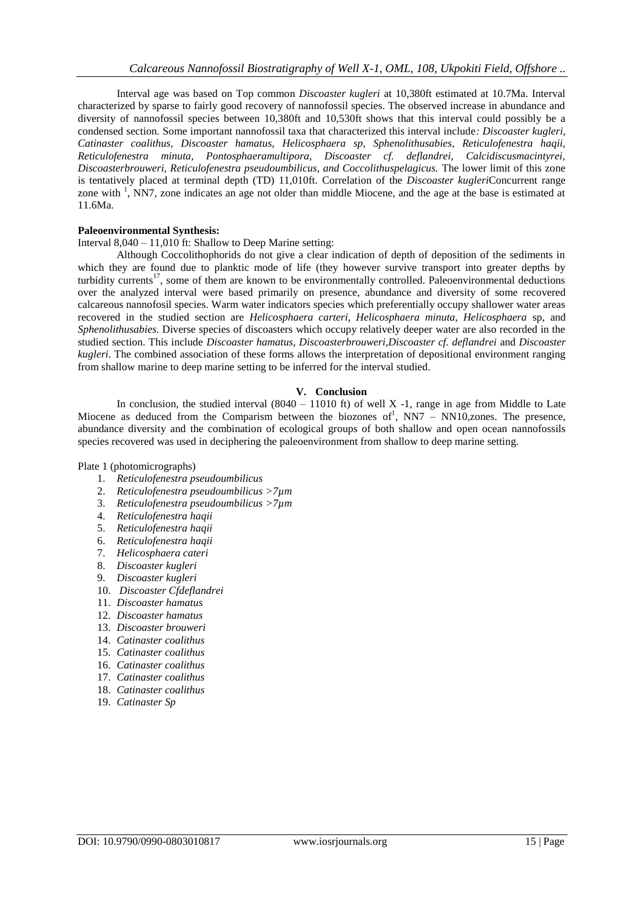Interval age was based on Top common *Discoaster kugleri* at 10,380ft estimated at 10.7Ma. Interval characterized by sparse to fairly good recovery of nannofossil species. The observed increase in abundance and diversity of nannofossil species between 10,380ft and 10,530ft shows that this interval could possibly be a condensed section. Some important nannofossil taxa that characterized this interval include*: Discoaster kugleri, Catinaster coalithus, Discoaster hamatus, Helicosphaera sp, Sphenolithusabies, Reticulofenestra haqii, Reticulofenestra minuta, Pontosphaeramultipora, Discoaster cf. deflandrei, Calcidiscusmacintyrei, Discoasterbrouweri, Reticulofenestra pseudoumbilicus, and Coccolithuspelagicus.* The lower limit of this zone is tentatively placed at terminal depth (TD) 11,010ft. Correlation of the *Discoaster kugleri*Concurrent range zone with<sup>1</sup>, NN7, zone indicates an age not older than middle Miocene, and the age at the base is estimated at 11.6Ma.

## **Paleoenvironmental Synthesis:**

### Interval 8,040 – 11,010 ft: Shallow to Deep Marine setting:

Although Coccolithophorids do not give a clear indication of depth of deposition of the sediments in which they are found due to planktic mode of life (they however survive transport into greater depths by turbidity currents<sup>17</sup>, some of them are known to be environmentally controlled. Paleoenvironmental deductions over the analyzed interval were based primarily on presence, abundance and diversity of some recovered calcareous nannofosil species. Warm water indicators species which preferentially occupy shallower water areas recovered in the studied section are *Helicosphaera carteri, Helicosphaera minuta, Helicosphaera* sp, and *Sphenolithusabies*. Diverse species of discoasters which occupy relatively deeper water are also recorded in the studied section. This include *Discoaster hamatus*, *Discoasterbrouweri,Discoaster cf. deflandrei* and *Discoaster kugleri*. The combined association of these forms allows the interpretation of depositional environment ranging from shallow marine to deep marine setting to be inferred for the interval studied.

## **V. Conclusion**

In conclusion, the studied interval  $(8040 - 11010 \text{ ft})$  of well X -1, range in age from Middle to Late Miocene as deduced from the Comparism between the biozones of<sup>1</sup>, NN7 – NN10,zones. The presence, abundance diversity and the combination of ecological groups of both shallow and open ocean nannofossils species recovered was used in deciphering the paleoenvironment from shallow to deep marine setting.

Plate 1 (photomicrographs)

- 1. *Reticulofenestra pseudoumbilicus*
- 2. *Reticulofenestra pseudoumbilicus >7µm*
- 3. *Reticulofenestra pseudoumbilicus >7µm*
- 4. *Reticulofenestra haqii*
- 5. *Reticulofenestra haqii*
- 6. *Reticulofenestra haqii*
- 7. *Helicosphaera cateri*
- 8. *Discoaster kugleri*
- 9. *Discoaster kugleri*
- 10. *Discoaster Cfdeflandrei*
- 11. *Discoaster hamatus*
- 12. *Discoaster hamatus*
- 13. *Discoaster brouweri*
- 14. *Catinaster coalithus*
- 15. *Catinaster coalithus*
- 16. *Catinaster coalithus*
- 17. *Catinaster coalithus*
- 18. *Catinaster coalithus*
- 19. *Catinaster Sp*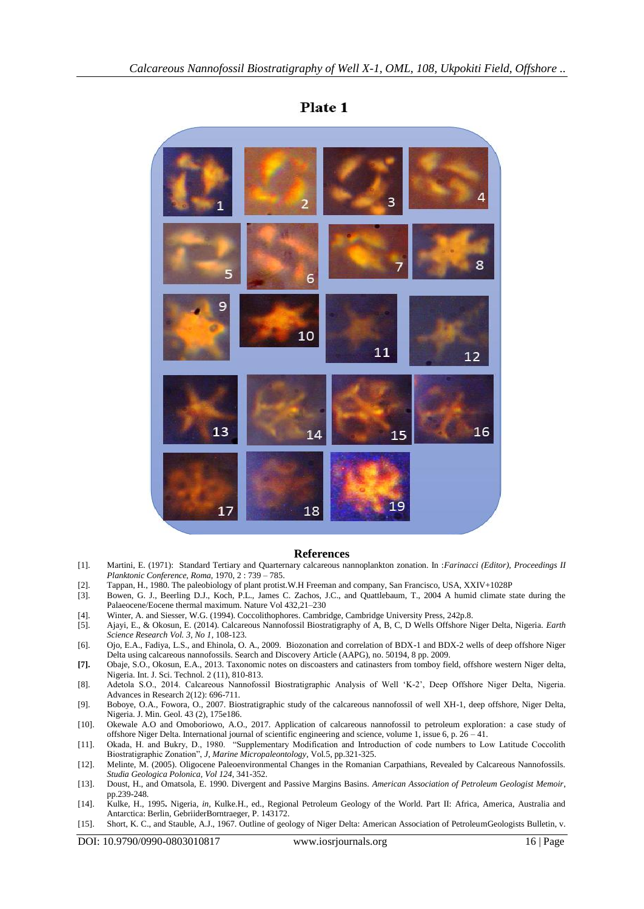

# Plate 1

#### **References**

- [1]. Martini, E. (1971): Standard Tertiary and Quarternary calcareous nannoplankton zonation. In :*Farinacci (Editor), Proceedings II Planktonic Conference, Roma,* 1970, 2 : 739 – 785.
- [2]. Tappan, H., 1980. The paleobiology of plant protist.W.H Freeman and company, San Francisco, USA, XXIV+1028P
- [3]. Bowen, G. J., Beerling D.J., Koch, P.L., James C. Zachos, J.C., and Quattlebaum, T., 2004 A humid climate state during the Palaeocene/Eocene thermal maximum. Nature Vol 432,21–230
- [4]. Winter, A. and Siesser, W.G. (1994). Coccolithophores. Cambridge, Cambridge University Press, 242p.8.
- [5]. Ajayi, E., & Okosun, E. (2014). Calcareous Nannofossil Biostratigraphy of A, B, C, D Wells Offshore Niger Delta, Nigeria. *Earth Science Research Vol. 3, No 1*, 108-123.
- [6]. Ojo, E.A., Fadiya, L.S., and Ehinola, O. A., 2009. Biozonation and correlation of BDX-1 and BDX-2 wells of deep offshore Niger Delta using calcareous nannofossils. Search and Discovery Article (AAPG), no. 50194, 8 pp. 2009.
- **[7].** Obaje, S.O., Okosun, E.A., 2013. Taxonomic notes on discoasters and catinasters from tomboy field, offshore western Niger delta, Nigeria. Int. J. Sci. Technol. 2 (11), 810-813.
- [8]. Adetola S.O., 2014. Calcareous Nannofossil Biostratigraphic Analysis of Well "K-2", Deep Offshore Niger Delta, Nigeria. Advances in Research 2(12): 696-711.
- [9]. Boboye, O.A., Fowora, O., 2007. Biostratigraphic study of the calcareous nannofossil of well XH-1, deep offshore, Niger Delta, Nigeria. J. Min. Geol. 43 (2), 175e186.
- [10]. Okewale A.O and Omoboriowo, A.O., 2017. Application of calcareous nannofossil to petroleum exploration: a case study of offshore Niger Delta. International journal of scientific engineering and science, volume 1, issue 6, p. 26 – 41.
- [11]. Okada, H. and Bukry, D., 1980. "Supplementary Modification and Introduction of code numbers to Low Latitude Coccolith Biostratigraphic Zonation", *J, Marine Micropaleontology*, Vol.5, pp.321-325.
- [12]. Melinte, M. (2005). Oligocene Paleoenvironmental Changes in the Romanian Carpathians, Revealed by Calcareous Nannofossils. *Studia Geologica Polonica, Vol 124*, 341-352.
- [13]. Doust, H., and Omatsola, E. 1990. Divergent and Passive Margins Basins. *American Association of Petroleum Geologist Memoir*, pp.239-248.
- [14]. Kulke, H., 1995**.** Nigeria, *in,* Kulke.H., ed., Regional Petroleum Geology of the World. Part II: Africa, America, Australia and Antarctica: Berlin, GebriiderBorntraeger, P. 143172.
- [15]. Short, K. C., and Stauble, A.J., 1967. Outline of geology of Niger Delta: American Association of PetroleumGeologists Bulletin, v.